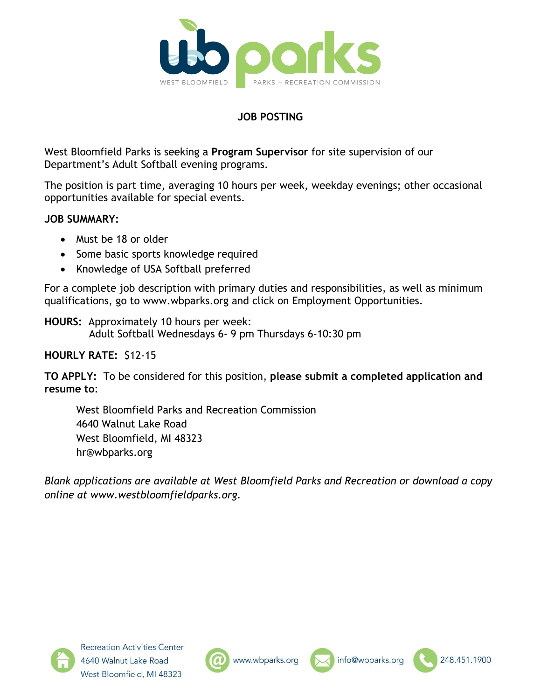

## **JOB POSTING**

West Bloomfield Parks is seeking a **Program Supervisor** for site supervision of our Department's Adult Softball evening programs.

The position is part time, averaging 10 hours per week, weekday evenings; other occasional opportunities available for special events.

## **JOB SUMMARY:**

- Must be 18 or older
- Some basic sports knowledge required
- Knowledge of USA Softball preferred

For a complete job description with primary duties and responsibilities, as well as minimum qualifications, go to www.wbparks.org and click on Employment Opportunities.

**HOURS:** Approximately 10 hours per week: Adult Softball Wednesdays 6- 9 pm Thursdays 6-10:30 pm

### **HOURLY RATE:** \$12-15

**TO APPLY:** To be considered for this position, **please submit a completed application and resume to**:

West Bloomfield Parks and Recreation Commission 4640 Walnut Lake Road West Bloomfield, MI 48323 hr@wbparks.org

*Blank applications are available at West Bloomfield Parks and Recreation or download a copy online at www.westbloomfieldparks.org.*







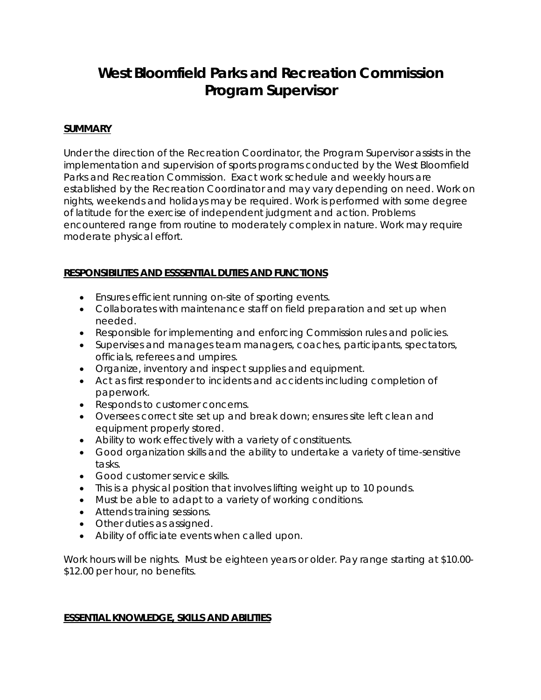# **West Bloomfield Parks and Recreation Commission Program Supervisor**

#### **SUMMARY**

Under the direction of the Recreation Coordinator, the Program Supervisor assists in the implementation and supervision of sports programs conducted by the West Bloomfield Parks and Recreation Commission. Exact work schedule and weekly hours are established by the Recreation Coordinator and may vary depending on need. Work on nights, weekends and holidays may be required. Work is performed with some degree of latitude for the exercise of independent judgment and action. Problems encountered range from routine to moderately complex in nature. Work may require moderate physical effort.

#### **RESPONSIBILITES AND ESSSENTIAL DUTIES AND FUNCTIONS**

- Ensures efficient running on-site of sporting events.
- Collaborates with maintenance staff on field preparation and set up when needed.
- Responsible for implementing and enforcing Commission rules and policies.
- Supervises and manages team managers, coaches, participants, spectators, officials, referees and umpires.
- Organize, inventory and inspect supplies and equipment.
- Act as first responder to incidents and accidents including completion of paperwork.
- Responds to customer concerns.
- Oversees correct site set up and break down; ensures site left clean and equipment properly stored.
- Ability to work effectively with a variety of constituents.
- Good organization skills and the ability to undertake a variety of time-sensitive tasks.
- Good customer service skills.
- This is a physical position that involves lifting weight up to 10 pounds.
- Must be able to adapt to a variety of working conditions.
- Attends training sessions.
- Other duties as assigned.
- Ability of officiate events when called upon.

Work hours will be nights. Must be eighteen years or older. Pay range starting at \$10.00- \$12.00 per hour, no benefits.

#### **ESSENTIAL KNOWLEDGE, SKILLS AND ABILITIES**